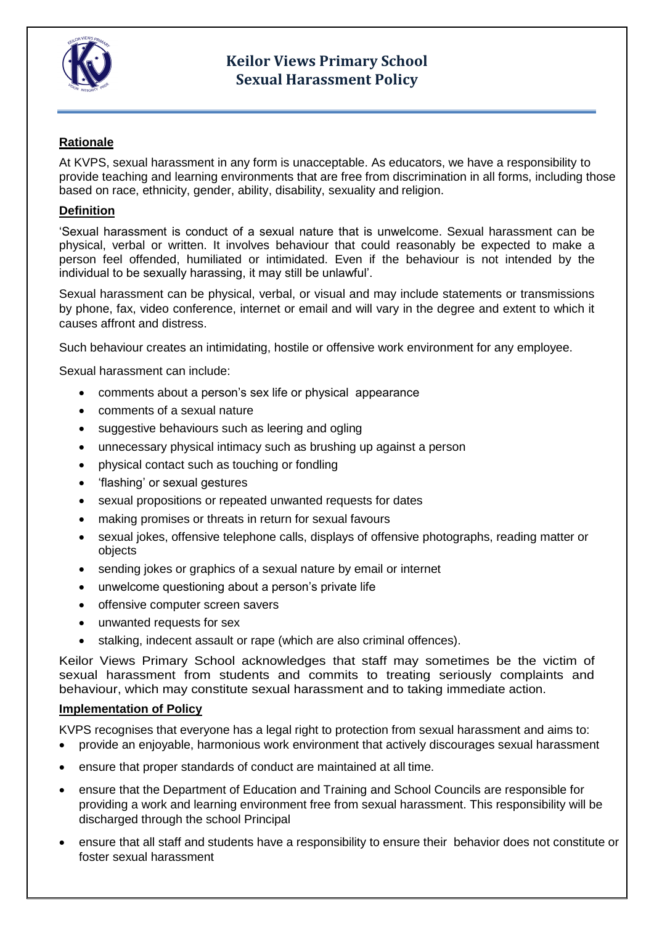

# **Keilor Views Primary School Sexual Harassment Policy**

## **Rationale**

At KVPS, sexual harassment in any form is unacceptable. As educators, we have a responsibility to provide teaching and learning environments that are free from discrimination in all forms, including those based on race, ethnicity, gender, ability, disability, sexuality and religion.

### **Definition**

'Sexual harassment is conduct of a sexual nature that is unwelcome. Sexual harassment can be physical, verbal or written. It involves behaviour that could reasonably be expected to make a person feel offended, humiliated or intimidated. Even if the behaviour is not intended by the individual to be sexually harassing, it may still be unlawful'.

Sexual harassment can be physical, verbal, or visual and may include statements or transmissions by phone, fax, video conference, internet or email and will vary in the degree and extent to which it causes affront and distress.

Such behaviour creates an intimidating, hostile or offensive work environment for any employee.

Sexual harassment can include:

- comments about a person's sex life or physical appearance
- comments of a sexual nature
- suggestive behaviours such as leering and ogling
- unnecessary physical intimacy such as brushing up against a person
- physical contact such as touching or fondling
- 'flashing' or sexual gestures
- sexual propositions or repeated unwanted requests for dates
- making promises or threats in return for sexual favours
- sexual jokes, offensive telephone calls, displays of offensive photographs, reading matter or objects
- sending jokes or graphics of a sexual nature by email or internet
- unwelcome questioning about a person's private life
- offensive computer screen savers
- unwanted requests for sex
- stalking, indecent assault or rape (which are also criminal offences).

Keilor Views Primary School acknowledges that staff may sometimes be the victim of sexual harassment from students and commits to treating seriously complaints and behaviour, which may constitute sexual harassment and to taking immediate action.

#### **Implementation of Policy**

KVPS recognises that everyone has a legal right to protection from sexual harassment and aims to:

- provide an enjoyable, harmonious work environment that actively discourages sexual harassment
- ensure that proper standards of conduct are maintained at all time.
- ensure that the Department of Education and Training and School Councils are responsible for providing a work and learning environment free from sexual harassment. This responsibility will be discharged through the school Principal
- ensure that all staff and students have a responsibility to ensure their behavior does not constitute or foster sexual harassment